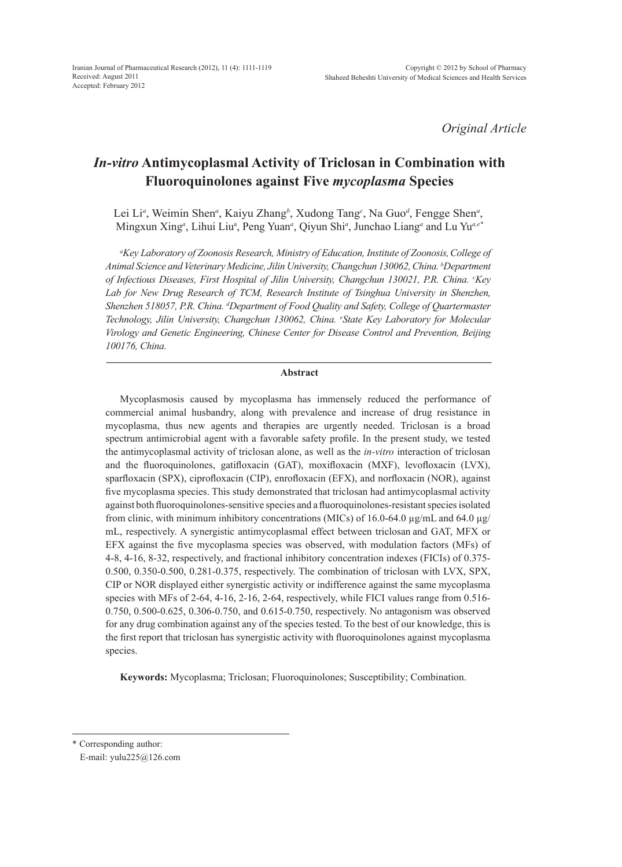*Original Article*

# *In-vitro* **Antimycoplasmal Activity of Triclosan in Combination with Fluoroquinolones against Five** *mycoplasma* **Species**

Lei Li<sup>a</sup>, Weimin Shen<sup>a</sup>, Kaiyu Zhang<sup>b</sup>, Xudong Tang<sup>c</sup>, Na Guo<sup>d</sup>, Fengge Shen<sup>a</sup>, Mingxun Xing<sup>*a*</sup>, Lihui Liu<sup>a</sup>, Peng Yuan<sup>*a*</sup>, Qiyun Shi<sup>*a*</sup>, Junchao Liang<sup>*a*</sup> and Lu Yu<sup>*a*,e<sup>\*</sup></sup>

*a Key Laboratory of Zoonosis Research, Ministry of Education, Institute of Zoonosis,College of Animal Science and Veterinary Medicine, Jilin University, Changchun 130062, China. b Department*  of Infectious Diseases, First Hospital of Jilin University, Changchun 130021, P.R. China. <sup>c</sup>Key Lab for New Drug Research of TCM, Research Institute of Tsinghua University in Shenzhen, *Shenzhen 518057, P.R. China. d Department of Food Quality and Safety, College of Quartermaster Technology, Jilin University, Changchun 130062, China. e State Key Laboratory for Molecular Virology and Genetic Engineering, Chinese Center for Disease Control and Prevention, Beijing 100176, China.*

### **Abstract**

Mycoplasmosis caused by mycoplasma has immensely reduced the performance of commercial animal husbandry, along with prevalence and increase of drug resistance in mycoplasma, thus new agents and therapies are urgently needed. Triclosan is a broad spectrum antimicrobial agent with a favorable safety profile. In the present study, we tested the antimycoplasmal activity of triclosan alone, as well as the *in-vitro* interaction of triclosan and the fluoroquinolones, gatifloxacin (GAT), moxifloxacin (MXF), levofloxacin (LVX), sparfloxacin (SPX), ciprofloxacin (CIP), enrofloxacin (EFX), and norfloxacin (NOR), against five mycoplasma species. This study demonstrated that triclosan had antimycoplasmal activity against both fluoroquinolones-sensitive species and a fluoroquinolones-resistant species isolated from clinic, with minimum inhibitory concentrations (MICs) of 16.0-64.0 µg/mL and 64.0 µg/ mL, respectively. A synergistic antimycoplasmal effect between triclosan and GAT, MFX or EFX against the five mycoplasma species was observed, with modulation factors (MFs) of 4-8, 4-16, 8-32, respectively, and fractional inhibitory concentration indexes (FICIs) of 0.375- 0.500, 0.350-0.500, 0.281-0.375, respectively. The combination of triclosan with LVX, SPX, CIP or NOR displayed either synergistic activity or indifference against the same mycoplasma species with MFs of 2-64, 4-16, 2-16, 2-64, respectively, while FICI values range from 0.516- 0.750, 0.500-0.625, 0.306-0.750, and 0.615-0.750, respectively. No antagonism was observed for any drug combination against any of the species tested. To the best of our knowledge, this is the first report that triclosan has synergistic activity with fluoroquinolones against mycoplasma species.

**Keywords:** Mycoplasma; Triclosan; Fluoroquinolones; Susceptibility; Combination.

\* Corresponding author:

E-mail: yulu225@126.com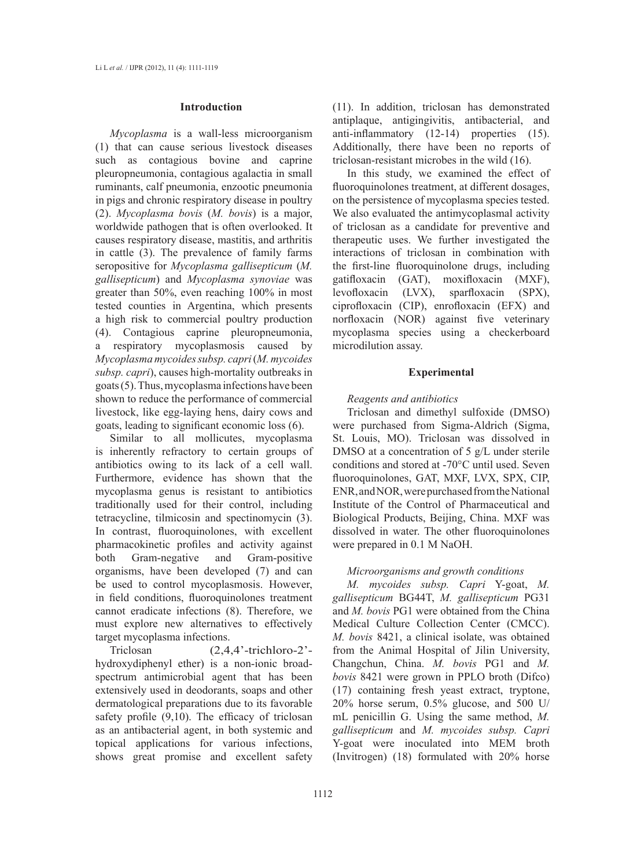### **Introduction**

*Mycoplasma* is a wall-less microorganism (1) that can cause serious livestock diseases such as contagious bovine and caprine pleuropneumonia, contagious agalactia in small ruminants, calf pneumonia, enzootic pneumonia in pigs and chronic respiratory disease in poultry (2). *Mycoplasma bovis* (*M. bovis*) is a major, worldwide pathogen that is often overlooked. It causes respiratory disease, mastitis, and arthritis in cattle (3). The prevalence of family farms seropositive for *Mycoplasma gallisepticum* (*M. gallisepticum*) and *Mycoplasma synoviae* was greater than 50%, even reaching 100% in most tested counties in Argentina, which presents a high risk to commercial poultry production (4). Contagious caprine pleuropneumonia, a respiratory mycoplasmosis caused by *Mycoplasma mycoides subsp. capri* (*M. mycoides subsp. capri*), causes high-mortality outbreaks in goats (5). Thus, mycoplasma infections have been shown to reduce the performance of commercial livestock, like egg-laying hens, dairy cows and goats, leading to significant economic loss (6).

Similar to all mollicutes, mycoplasma is inherently refractory to certain groups of antibiotics owing to its lack of a cell wall. Furthermore, evidence has shown that the mycoplasma genus is resistant to antibiotics traditionally used for their control, including tetracycline, tilmicosin and spectinomycin (3). In contrast, fluoroquinolones, with excellent pharmacokinetic profiles and activity against both Gram-negative and Gram-positive organisms, have been developed (7) and can be used to control mycoplasmosis. However, in field conditions, fluoroquinolones treatment cannot eradicate infections (8). Therefore, we must explore new alternatives to effectively target mycoplasma infections.

Triclosan (2,4,4'-trichloro-2'hydroxydiphenyl ether) is a non-ionic broadspectrum antimicrobial agent that has been extensively used in deodorants, soaps and other dermatological preparations due to its favorable safety profile (9,10). The efficacy of triclosan as an antibacterial agent, in both systemic and topical applications for various infections, shows great promise and excellent safety (11). In addition, triclosan has demonstrated antiplaque, antigingivitis, antibacterial, and anti-inflammatory (12-14) properties (15). Additionally, there have been no reports of triclosan-resistant microbes in the wild (16).

In this study, we examined the effect of fluoroquinolones treatment, at different dosages, on the persistence of mycoplasma species tested. We also evaluated the antimycoplasmal activity of triclosan as a candidate for preventive and therapeutic uses. We further investigated the interactions of triclosan in combination with the first-line fluoroquinolone drugs, including gatifloxacin (GAT), moxifloxacin (MXF), levofloxacin (LVX), sparfloxacin (SPX), ciprofloxacin (CIP), enrofloxacin (EFX) and norfloxacin (NOR) against five veterinary mycoplasma species using a checkerboard microdilution assay.

# **Experimental**

### *Reagents and antibiotics*

Triclosan and dimethyl sulfoxide (DMSO) were purchased from Sigma-Aldrich (Sigma, St. Louis, MO). Triclosan was dissolved in DMSO at a concentration of 5 g/L under sterile conditions and stored at -70°C until used. Seven fluoroquinolones, GAT, MXF, LVX, SPX, CIP, ENR, and NOR, were purchased from the National Institute of the Control of Pharmaceutical and Biological Products, Beijing, China. MXF was dissolved in water. The other fluoroquinolones were prepared in 0.1 M NaOH.

# *Microorganisms and growth conditions*

*M. mycoides subsp. Capri* Y-goat, *M. gallisepticum* BG44T, *M. gallisepticum* PG31 and *M. bovis* PG1 were obtained from the China Medical Culture Collection Center (CMCC). *M. bovis* 8421, a clinical isolate, was obtained from the Animal Hospital of Jilin University, Changchun, China. *M. bovis* PG1 and *M. bovis* 8421 were grown in PPLO broth (Difco) (17) containing fresh yeast extract, tryptone, 20% horse serum, 0.5% glucose, and 500 U/ mL penicillin G. Using the same method, *M. gallisepticum* and *M. mycoides subsp. Capri* Y-goat were inoculated into MEM broth (Invitrogen) (18) formulated with 20% horse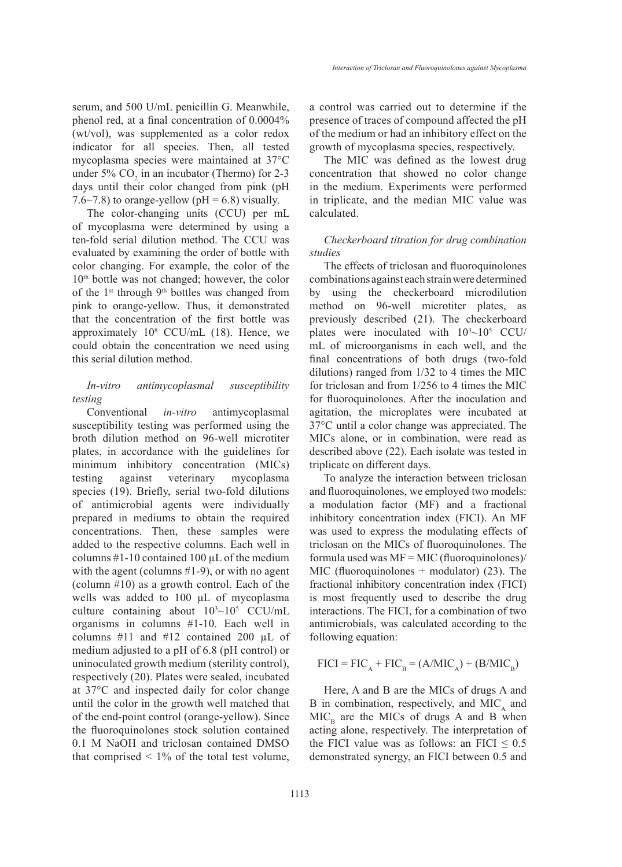serum, and 500 U/mL penicillin G. Meanwhile, phenol red, at a final concentration of 0.0004% (wt/vol), was supplemented as a color redox indicator for all species. Then, all tested mycoplasma species were maintained at 37°C under 5%  $CO_2$  in an incubator (Thermo) for 2-3 days until their color changed from pink (pH 7.6~7.8) to orange-yellow ( $pH = 6.8$ ) visually.

The color-changing units (CCU) per mL of mycoplasma were determined by using a ten-fold serial dilution method. The CCU was evaluated by examining the order of bottle with color changing. For example, the color of the 10th bottle was not changed; however, the color of the 1<sup>st</sup> through 9<sup>th</sup> bottles was changed from pink to orange-yellow. Thus, it demonstrated that the concentration of the first bottle was approximately 108 CCU/mL (18). Hence, we could obtain the concentration we need using this serial dilution method.

# *In-vitro antimycoplasmal susceptibility testing*

Conventional *in-vitro* antimycoplasmal susceptibility testing was performed using the broth dilution method on 96-well microtiter plates, in accordance with the guidelines for minimum inhibitory concentration (MICs) testing against veterinary mycoplasma species (19). Briefly, serial two-fold dilutions of antimicrobial agents were individually prepared in mediums to obtain the required concentrations. Then, these samples were added to the respective columns. Each well in columns  $#1-10$  contained 100  $\mu$ L of the medium with the agent (columns #1-9), or with no agent (column #10) as a growth control. Each of the wells was added to 100 μL of mycoplasma culture containing about  $10^{3} \sim 10^{5}$  CCU/mL organisms in columns #1-10. Each well in columns #11 and #12 contained 200 µL of medium adjusted to a pH of 6.8 (pH control) or uninoculated growth medium (sterility control), respectively (20). Plates were sealed, incubated at 37°C and inspected daily for color change until the color in the growth well matched that of the end-point control (orange-yellow). Since the fluoroquinolones stock solution contained 0.1 M NaOH and triclosan contained DMSO that comprised  $\leq 1\%$  of the total test volume,

a control was carried out to determine if the presence of traces of compound affected the pH of the medium or had an inhibitory effect on the growth of mycoplasma species, respectively.

The MIC was defined as the lowest drug concentration that showed no color change in the medium. Experiments were performed in triplicate, and the median MIC value was calculated.

# *Checkerboard titration for drug combination studies*

The effects of triclosan and fluoroquinolones combinations against each strain were determined by using the checkerboard microdilution method on 96-well microtiter plates, as previously described (21). The checkerboard plates were inoculated with  $10^{3} \sim 10^{5}$  CCU/ mL of microorganisms in each well, and the final concentrations of both drugs (two-fold dilutions) ranged from 1/32 to 4 times the MIC for triclosan and from 1/256 to 4 times the MIC for fluoroquinolones. After the inoculation and agitation, the microplates were incubated at 37°C until a color change was appreciated. The MICs alone, or in combination, were read as described above (22). Each isolate was tested in triplicate on different days.

To analyze the interaction between triclosan and fluoroquinolones, we employed two models: a modulation factor (MF) and a fractional inhibitory concentration index (FICI). An MF was used to express the modulating effects of triclosan on the MICs of fluoroquinolones. The formula used was  $MF = MIC$  (fluoroquinolones)/ MIC (fluoroquinolones + modulator) (23). The fractional inhibitory concentration index (FICI) is most frequently used to describe the drug interactions. The FICI, for a combination of two antimicrobials, was calculated according to the following equation:

$$
FICI = FICA + FICB = (A/MICA) + (B/MICB)
$$

Here, A and B are the MICs of drugs A and B in combination, respectively, and  $MIC<sub>4</sub>$  and  $MIC<sub>B</sub>$  are the MICs of drugs A and B when acting alone, respectively. The interpretation of the FICI value was as follows: an FICI  $\leq 0.5$ demonstrated synergy, an FICI between 0.5 and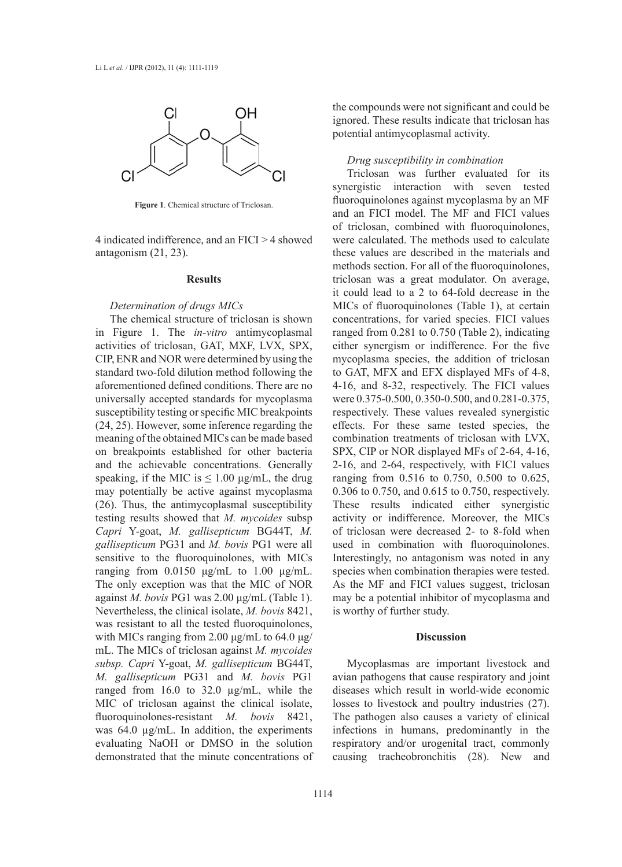

**Figure 1**. Chemical structure of Triclosan.

4 indicated indifference, and an FICI > 4 showed antagonism (21, 23).

#### **Results**

### *Determination of drugs MICs*

The chemical structure of triclosan is shown in Figure 1. The *in-vitro* antimycoplasmal activities of triclosan, GAT, MXF, LVX, SPX, CIP, ENR and NOR were determined by using the standard two-fold dilution method following the aforementioned defined conditions. There are no universally accepted standards for mycoplasma susceptibility testing or specific MIC breakpoints (24, 25). However, some inference regarding the meaning of the obtained MICs can be made based on breakpoints established for other bacteria and the achievable concentrations. Generally speaking, if the MIC is  $\leq 1.00 \text{ µg/mL}$ , the drug may potentially be active against mycoplasma (26). Thus, the antimycoplasmal susceptibility testing results showed that *M. mycoides* subsp *Capri* Y-goat, *M. gallisepticum* BG44T, *M. gallisepticum* PG31 and *M. bovis* PG1 were all sensitive to the fluoroquinolones, with MICs ranging from 0.0150 μg/mL to 1.00 μg/mL. The only exception was that the MIC of NOR against *M. bovis* PG1 was 2.00 μg/mL (Table 1). Nevertheless, the clinical isolate, *M. bovis* 8421, was resistant to all the tested fluoroquinolones, with MICs ranging from 2.00 μg/mL to 64.0 μg/ mL. The MICs of triclosan against *M. mycoides subsp. Capri* Y-goat, *M. gallisepticum* BG44T, *M. gallisepticum* PG31 and *M. bovis* PG1 ranged from 16.0 to 32.0 µg/mL, while the MIC of triclosan against the clinical isolate, fluoroquinolones-resistant *M. bovis* 8421, was 64.0  $\mu$ g/mL. In addition, the experiments evaluating NaOH or DMSO in the solution demonstrated that the minute concentrations of the compounds were not significant and could be ignored. These results indicate that triclosan has potential antimycoplasmal activity.

# *Drug susceptibility in combination*

Triclosan was further evaluated for its synergistic interaction with seven tested fluoroquinolones against mycoplasma by an MF and an FICI model. The MF and FICI values of triclosan, combined with fluoroquinolones, were calculated. The methods used to calculate these values are described in the materials and methods section. For all of the fluoroquinolones, triclosan was a great modulator. On average, it could lead to a 2 to 64-fold decrease in the MICs of fluoroquinolones (Table 1), at certain concentrations, for varied species. FICI values ranged from 0.281 to 0.750 (Table 2), indicating either synergism or indifference. For the five mycoplasma species, the addition of triclosan to GAT, MFX and EFX displayed MFs of 4-8, 4-16, and 8-32, respectively. The FICI values were 0.375-0.500, 0.350-0.500, and 0.281-0.375, respectively. These values revealed synergistic effects. For these same tested species, the combination treatments of triclosan with LVX, SPX, CIP or NOR displayed MFs of 2-64, 4-16, 2-16, and 2-64, respectively, with FICI values ranging from 0.516 to 0.750, 0.500 to 0.625, 0.306 to 0.750, and 0.615 to 0.750, respectively. These results indicated either synergistic activity or indifference. Moreover, the MICs of triclosan were decreased 2- to 8-fold when used in combination with fluoroquinolones. Interestingly, no antagonism was noted in any species when combination therapies were tested. As the MF and FICI values suggest, triclosan may be a potential inhibitor of mycoplasma and is worthy of further study.

# **Discussion**

Mycoplasmas are important livestock and avian pathogens that cause respiratory and joint diseases which result in world-wide economic losses to livestock and poultry industries (27). The pathogen also causes a variety of clinical infections in humans, predominantly in the respiratory and/or urogenital tract, commonly causing tracheobronchitis (28). New and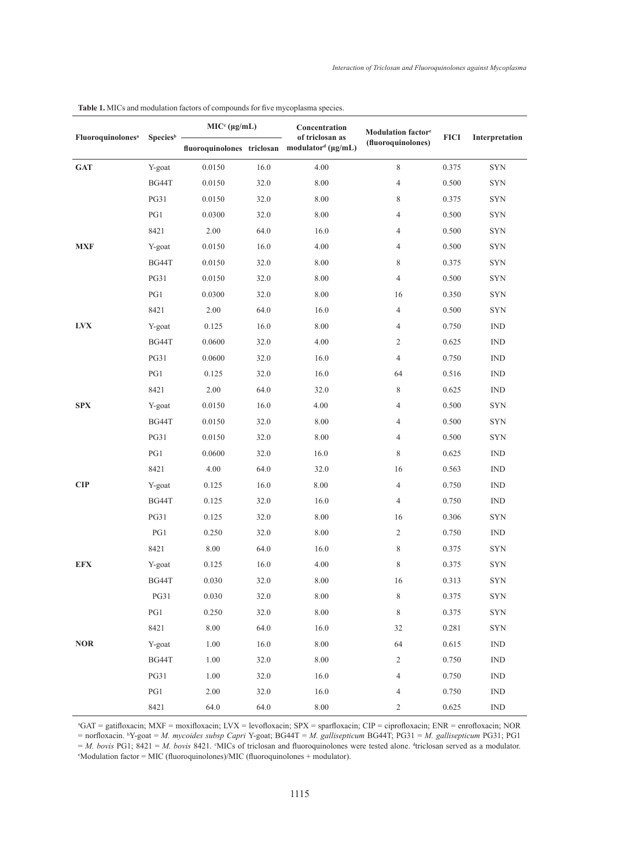|                               | Species <sup>b</sup> | $MICc (\mu g/mL)$ |      | Concentration                                                                | Modulation factor <sup>e</sup> |             |                             |  |
|-------------------------------|----------------------|-------------------|------|------------------------------------------------------------------------------|--------------------------------|-------------|-----------------------------|--|
| Fluoroquinolones <sup>a</sup> |                      |                   |      | of triclosan as<br>fluoroquinolones triclosan modulator <sup>d</sup> (µg/mL) | (fluoroquinolones)             | <b>FICI</b> | Interpretation              |  |
| <b>GAT</b>                    | Y-goat               | 0.0150            | 16.0 | 4.00                                                                         | 8                              | 0.375       | <b>SYN</b>                  |  |
|                               | BG44T                | 0.0150            | 32.0 | $8.00\,$                                                                     | 4                              | 0.500       | <b>SYN</b>                  |  |
|                               | <b>PG31</b>          | 0.0150            | 32.0 | 8.00                                                                         | 8                              | 0.375       | <b>SYN</b>                  |  |
|                               | PG1                  | 0.0300            | 32.0 | 8.00                                                                         | 4                              | 0.500       | <b>SYN</b>                  |  |
|                               | 8421                 | 2.00              | 64.0 | 16.0                                                                         | 4                              | 0.500       | ${\hbox{SYN}}$              |  |
| <b>MXF</b>                    | Y-goat               | 0.0150            | 16.0 | 4.00                                                                         | 4                              | 0.500       | ${\hbox{SYN}}$              |  |
|                               | BG44T                | 0.0150            | 32.0 | 8.00                                                                         | 8                              | 0.375       | <b>SYN</b>                  |  |
|                               | <b>PG31</b>          | 0.0150            | 32.0 | 8.00                                                                         | $\overline{4}$                 | 0.500       | $\ensuremath{\mathrm{SYN}}$ |  |
|                               | PG1                  | 0.0300            | 32.0 | 8.00                                                                         | 16                             | 0.350       | <b>SYN</b>                  |  |
|                               | 8421                 | 2.00              | 64.0 | 16.0                                                                         | 4                              | 0.500       | ${\hbox{SYN}}$              |  |
| <b>LVX</b>                    | Y-goat               | 0.125             | 16.0 | 8.00                                                                         | $\overline{4}$                 | 0.750       | $\mathop{\rm IND}\nolimits$ |  |
|                               | BG44T                | 0.0600            | 32.0 | 4.00                                                                         | $\overline{c}$                 | 0.625       | $\mathop{\rm IND}\nolimits$ |  |
|                               | <b>PG31</b>          | 0.0600            | 32.0 | 16.0                                                                         | 4                              | 0.750       | $\mathop{\rm IND}\nolimits$ |  |
|                               | PG1                  | 0.125             | 32.0 | 16.0                                                                         | 64                             | 0.516       | <b>IND</b>                  |  |
|                               | 8421                 | 2.00              | 64.0 | 32.0                                                                         | 8                              | 0.625       | $\mathop{\rm IND}\nolimits$ |  |
| <b>SPX</b>                    | Y-goat               | 0.0150            | 16.0 | 4.00                                                                         | $\overline{4}$                 | 0.500       | $\ensuremath{\mathrm{SYN}}$ |  |
|                               | BG44T                | 0.0150            | 32.0 | 8.00                                                                         | 4                              | 0.500       | <b>SYN</b>                  |  |
|                               | <b>PG31</b>          | 0.0150            | 32.0 | 8.00                                                                         | $\overline{4}$                 | 0.500       | $\ensuremath{\mathrm{SYN}}$ |  |
|                               | PG1                  | 0.0600            | 32.0 | 16.0                                                                         | 8                              | 0.625       | $\mathop{\rm IND}\nolimits$ |  |
|                               | 8421                 | 4.00              | 64.0 | 32.0                                                                         | 16                             | 0.563       | $\mathop{\rm IND}\nolimits$ |  |
| <b>CIP</b>                    | Y-goat               | 0.125             | 16.0 | 8.00                                                                         | $\overline{4}$                 | 0.750       | $\mathop{\rm IND}\nolimits$ |  |
|                               | BG44T                | 0.125             | 32.0 | 16.0                                                                         | 4                              | 0.750       | $\mathop{\rm IND}\nolimits$ |  |
|                               | <b>PG31</b>          | 0.125             | 32.0 | 8.00                                                                         | 16                             | 0.306       | <b>SYN</b>                  |  |
|                               | PG1                  | 0.250             | 32.0 | 8.00                                                                         | $\overline{c}$                 | 0.750       | <b>IND</b>                  |  |
|                               | 8421                 | 8.00              | 64.0 | 16.0                                                                         | 8                              | 0.375       | <b>SYN</b>                  |  |
| <b>EFX</b>                    | Y-goat               | 0.125             | 16.0 | 4.00                                                                         | 8                              | 0.375       | <b>SYN</b>                  |  |
|                               | BG44T                | 0.030             | 32.0 | $8.00\,$                                                                     | $16\,$                         | 0.313       | <b>SYN</b>                  |  |
|                               | <b>PG31</b>          | 0.030             | 32.0 | $8.00\,$                                                                     | $\,8\,$                        | 0.375       | $\ensuremath{\mathrm{SYN}}$ |  |
|                               | PG1                  | 0.250             | 32.0 | 8.00                                                                         | $\,$ 8 $\,$                    | 0.375       | <b>SYN</b>                  |  |
|                               | 8421                 | $8.00\,$          | 64.0 | 16.0                                                                         | 32                             | 0.281       | SYN                         |  |
| $\bf{NOR}$                    | Y-goat               | $1.00\,$          | 16.0 | 8.00                                                                         | 64                             | 0.615       | $\mathop{\rm IND}\nolimits$ |  |
|                               | BG44T                | 1.00              | 32.0 | 8.00                                                                         | $\sqrt{2}$                     | 0.750       | $\mathop{\rm IND}\nolimits$ |  |
|                               | <b>PG31</b>          | 1.00              | 32.0 | 16.0                                                                         | $\overline{4}$                 | 0.750       | $\mathop{\rm IND}\nolimits$ |  |
|                               | PG1                  | 2.00              | 32.0 | 16.0                                                                         | 4                              | 0.750       | $\mathop{\rm IND}\nolimits$ |  |
|                               | 8421                 | 64.0              | 64.0 | 8.00                                                                         | $\mathbf{2}$                   | 0.625       | <b>IND</b>                  |  |

**Table 1.** MICs and modulation factors of compounds for five mycoplasma species.

a GAT = gatifloxacin; MXF = moxifloxacin; LVX = levofloxacin; SPX = sparfloxacin; CIP = ciprofloxacin; ENR = enrofloxacin; NOR = norfloxacin. <sup>b</sup> Y-goat = *M. mycoides subsp Capri* Y-goat; BG44T = *M. gallisepticum* BG44T; PG31 = *M. gallisepticum* PG31; PG1  $= M$ . *bovis* PG1; 8421 = *M. bovis* 8421. MICs of triclosan and fluoroquinolones were tested alone. <sup>4</sup>triclosan served as a modulator. Modulation factor = MIC (fluoroquinolones)/MIC (fluoroquinolones + modulator).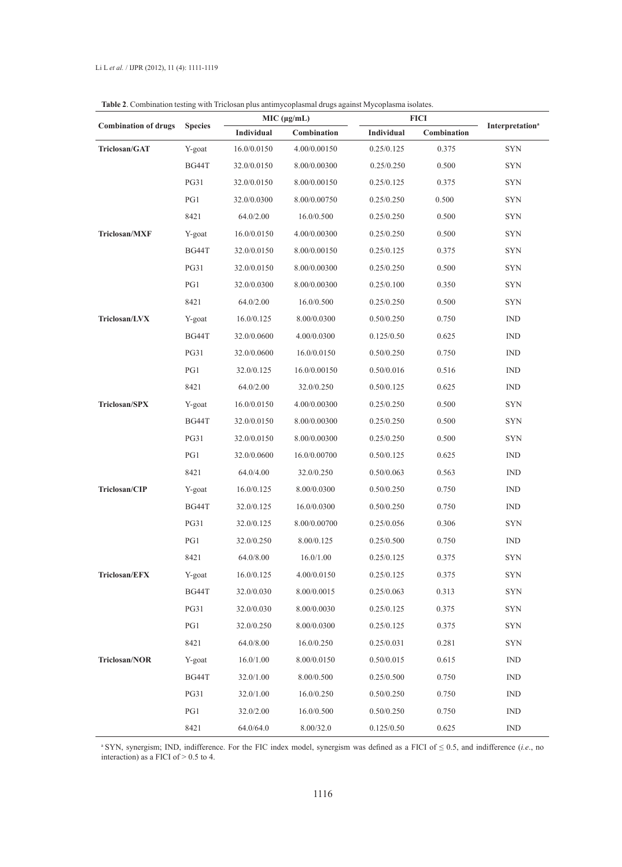|                             |                |             | MIC (µg/mL)  |            | <b>FICI</b> |                                    |
|-----------------------------|----------------|-------------|--------------|------------|-------------|------------------------------------|
| <b>Combination of drugs</b> | <b>Species</b> | Individual  | Combination  | Individual | Combination | <b>Interpretation</b> <sup>a</sup> |
| Triclosan/GAT               | Y-goat         | 16.0/0.0150 | 4.00/0.00150 | 0.25/0.125 | 0.375       | <b>SYN</b>                         |
|                             | BG44T          | 32.0/0.0150 | 8.00/0.00300 | 0.25/0.250 | 0.500       | <b>SYN</b>                         |
|                             | <b>PG31</b>    | 32.0/0.0150 | 8.00/0.00150 | 0.25/0.125 | 0.375       | <b>SYN</b>                         |
|                             | PG1            | 32.0/0.0300 | 8.00/0.00750 | 0.25/0.250 | 0.500       | <b>SYN</b>                         |
|                             | 8421           | 64.0/2.00   | 16.0/0.500   | 0.25/0.250 | 0.500       | <b>SYN</b>                         |
| Triclosan/MXF               | Y-goat         | 16.0/0.0150 | 4.00/0.00300 | 0.25/0.250 | 0.500       | <b>SYN</b>                         |
|                             | BG44T          | 32.0/0.0150 | 8.00/0.00150 | 0.25/0.125 | 0.375       | <b>SYN</b>                         |
|                             | <b>PG31</b>    | 32.0/0.0150 | 8.00/0.00300 | 0.25/0.250 | 0.500       | <b>SYN</b>                         |
|                             | PG1            | 32.0/0.0300 | 8.00/0.00300 | 0.25/0.100 | 0.350       | <b>SYN</b>                         |
|                             | 8421           | 64.0/2.00   | 16.0/0.500   | 0.25/0.250 | 0.500       | <b>SYN</b>                         |
| Triclosan/LVX               | Y-goat         | 16.0/0.125  | 8.00/0.0300  | 0.50/0.250 | 0.750       | IND                                |
|                             | BG44T          | 32.0/0.0600 | 4.00/0.0300  | 0.125/0.50 | 0.625       | <b>IND</b>                         |
|                             | <b>PG31</b>    | 32.0/0.0600 | 16.0/0.0150  | 0.50/0.250 | 0.750       | <b>IND</b>                         |
|                             | PG1            | 32.0/0.125  | 16.0/0.00150 | 0.50/0.016 | 0.516       | <b>IND</b>                         |
|                             | 8421           | 64.0/2.00   | 32.0/0.250   | 0.50/0.125 | 0.625       | <b>IND</b>                         |
| Triclosan/SPX               | Y-goat         | 16.0/0.0150 | 4.00/0.00300 | 0.25/0.250 | 0.500       | <b>SYN</b>                         |
|                             | BG44T          | 32.0/0.0150 | 8.00/0.00300 | 0.25/0.250 | 0.500       | <b>SYN</b>                         |
|                             | <b>PG31</b>    | 32.0/0.0150 | 8.00/0.00300 | 0.25/0.250 | 0.500       | <b>SYN</b>                         |
|                             | PG1            | 32.0/0.0600 | 16.0/0.00700 | 0.50/0.125 | 0.625       | <b>IND</b>                         |
|                             | 8421           | 64.0/4.00   | 32.0/0.250   | 0.50/0.063 | 0.563       | <b>IND</b>                         |
| Triclosan/CIP               | Y-goat         | 16.0/0.125  | 8.00/0.0300  | 0.50/0.250 | 0.750       | <b>IND</b>                         |
|                             | BG44T          | 32.0/0.125  | 16.0/0.0300  | 0.50/0.250 | 0.750       | <b>IND</b>                         |
|                             | <b>PG31</b>    | 32.0/0.125  | 8.00/0.00700 | 0.25/0.056 | 0.306       | <b>SYN</b>                         |
|                             | PG1            | 32.0/0.250  | 8.00/0.125   | 0.25/0.500 | 0.750       | <b>IND</b>                         |
|                             | 8421           | 64.0/8.00   | 16.0/1.00    | 0.25/0.125 | 0.375       | <b>SYN</b>                         |
| Triclosan/EFX               | Y-goat         | 16.0/0.125  | 4.00/0.0150  | 0.25/0.125 | 0.375       | <b>SYN</b>                         |
|                             | BG44T          | 32.0/0.030  | 8.00/0.0015  | 0.25/0.063 | 0.313       | <b>SYN</b>                         |
|                             | <b>PG31</b>    | 32.0/0.030  | 8.00/0.0030  | 0.25/0.125 | 0.375       | <b>SYN</b>                         |
|                             | PG1            | 32.0/0.250  | 8.00/0.0300  | 0.25/0.125 | 0.375       | <b>SYN</b>                         |
|                             | 8421           | 64.0/8.00   | 16.0/0.250   | 0.25/0.031 | 0.281       | <b>SYN</b>                         |
| Triclosan/NOR               | Y-goat         | 16.0/1.00   | 8.00/0.0150  | 0.50/0.015 | 0.615       | <b>IND</b>                         |
|                             | BG44T          | 32.0/1.00   | 8.00/0.500   | 0.25/0.500 | 0.750       | <b>IND</b>                         |
|                             | <b>PG31</b>    | 32.0/1.00   | 16.0/0.250   | 0.50/0.250 | 0.750       | <b>IND</b>                         |
|                             | PG1            | 32.0/2.00   | 16.0/0.500   | 0.50/0.250 | 0.750       | <b>IND</b>                         |
|                             | 8421           | 64.0/64.0   | 8.00/32.0    | 0.125/0.50 | 0.625       | <b>IND</b>                         |

**Table 2**. Combination testing with Triclosan plus antimycoplasmal drugs against Mycoplasma isolates.

<sup>a</sup>SYN, synergism; IND, indifference. For the FIC index model, synergism was defined as a FICI of ≤ 0.5, and indifference (*i.e*., no interaction) as a FICI of  $> 0.5$  to 4.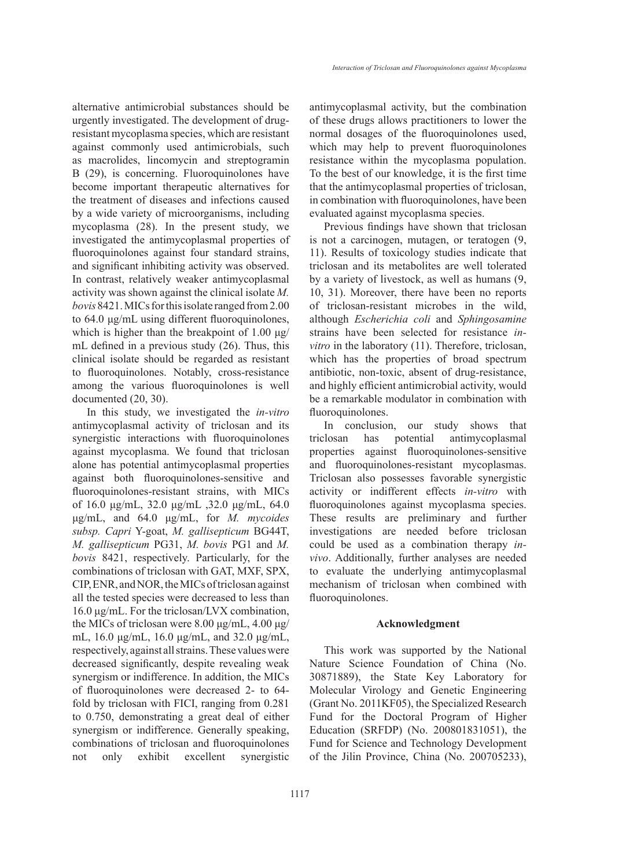alternative antimicrobial substances should be urgently investigated. The development of drugresistant mycoplasma species, which are resistant against commonly used antimicrobials, such as macrolides, lincomycin and streptogramin B (29), is concerning. Fluoroquinolones have become important therapeutic alternatives for the treatment of diseases and infections caused by a wide variety of microorganisms, including mycoplasma (28). In the present study, we investigated the antimycoplasmal properties of fluoroquinolones against four standard strains, and significant inhibiting activity was observed. In contrast, relatively weaker antimycoplasmal activity was shown against the clinical isolate *M. bovis* 8421. MICs for this isolate ranged from 2.00 to 64.0 μg/mL using different fluoroquinolones, which is higher than the breakpoint of  $1.00 \mu g$ / mL defined in a previous study (26). Thus, this clinical isolate should be regarded as resistant to fluoroquinolones. Notably, cross-resistance among the various fluoroquinolones is well documented (20, 30).

In this study, we investigated the *in-vitro* antimycoplasmal activity of triclosan and its synergistic interactions with fluoroquinolones against mycoplasma. We found that triclosan alone has potential antimycoplasmal properties against both fluoroquinolones-sensitive and fluoroquinolones-resistant strains, with MICs of 16.0 μg/mL, 32.0 μg/mL ,32.0 μg/mL, 64.0 μg/mL, and 64.0 μg/mL, for *M. mycoides subsp. Capri* Y-goat, *M. gallisepticum* BG44T, *M. gallisepticum* PG31, *M. bovis* PG1 and *M. bovis* 8421, respectively. Particularly, for the combinations of triclosan with GAT, MXF, SPX, CIP, ENR, and NOR, the MICs of triclosan against all the tested species were decreased to less than 16.0 μg/mL. For the triclosan/LVX combination, the MICs of triclosan were 8.00 μg/mL, 4.00 μg/ mL, 16.0 μg/mL, 16.0 μg/mL, and 32.0 μg/mL, respectively, against all strains. These values were decreased significantly, despite revealing weak synergism or indifference. In addition, the MICs of fluoroquinolones were decreased 2- to 64 fold by triclosan with FICI, ranging from 0.281 to 0.750, demonstrating a great deal of either synergism or indifference. Generally speaking, combinations of triclosan and fluoroquinolones not only exhibit excellent synergistic antimycoplasmal activity, but the combination of these drugs allows practitioners to lower the normal dosages of the fluoroquinolones used, which may help to prevent fluoroquinolones resistance within the mycoplasma population. To the best of our knowledge, it is the first time that the antimycoplasmal properties of triclosan, in combination with fluoroquinolones, have been evaluated against mycoplasma species.

Previous findings have shown that triclosan is not a carcinogen, mutagen, or teratogen (9, 11). Results of toxicology studies indicate that triclosan and its metabolites are well tolerated by a variety of livestock, as well as humans (9, 10, 31). Moreover, there have been no reports of triclosan-resistant microbes in the wild, although *Escherichia coli* and *Sphingosamine* strains have been selected for resistance *invitro* in the laboratory (11). Therefore, triclosan, which has the properties of broad spectrum antibiotic, non-toxic, absent of drug-resistance, and highly efficient antimicrobial activity, would be a remarkable modulator in combination with fluoroquinolones.

In conclusion, our study shows that triclosan has potential antimycoplasmal properties against fluoroquinolones-sensitive and fluoroquinolones-resistant mycoplasmas. Triclosan also possesses favorable synergistic activity or indifferent effects *in-vitro* with fluoroquinolones against mycoplasma species. These results are preliminary and further investigations are needed before triclosan could be used as a combination therapy *invivo*. Additionally, further analyses are needed to evaluate the underlying antimycoplasmal mechanism of triclosan when combined with fluoroquinolones.

### **Acknowledgment**

This work was supported by the National Nature Science Foundation of China (No. 30871889), the State Key Laboratory for Molecular Virology and Genetic Engineering (Grant No. 2011KF05), the Specialized Research Fund for the Doctoral Program of Higher Education (SRFDP) (No. 200801831051), the Fund for Science and Technology Development of the Jilin Province, China (No. 200705233),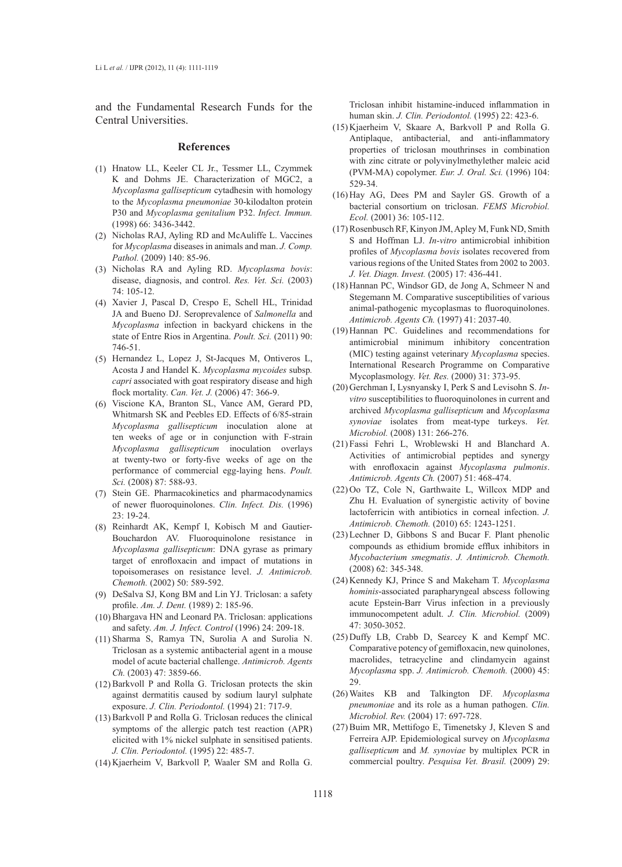and the Fundamental Research Funds for the Central Universities.

#### **References**

- Hnatow LL, Keeler CL Jr., Tessmer LL, Czymmek (1) K and Dohms JE. Characterization of MGC2, a *Mycoplasma gallisepticum* cytadhesin with homology to the *Mycoplasma pneumoniae* 30-kilodalton protein P30 and *Mycoplasma genitalium* P32. *Infect. Immun.* (1998) 66: 3436-3442.
- (2) Nicholas RAJ, Ayling RD and McAuliffe L. Vaccines for *Mycoplasma* diseases in animals and man. *J. Comp. Pathol.* (2009) 140: 85-96.
- Nicholas RA and Ayling RD. *Mycoplasma bovis*: (3) disease, diagnosis, and control. *Res. Vet. Sci.* (2003) 74: 105-12.
- Xavier J, Pascal D, Crespo E, Schell HL, Trinidad (4) JA and Bueno DJ. Seroprevalence of *Salmonella* and *Mycoplasma* infection in backyard chickens in the state of Entre Rios in Argentina. *Poult. Sci.* (2011) 90: 746-51.
- Hernandez L, Lopez J, St-Jacques M, Ontiveros L, (5) Acosta J and Handel K. *Mycoplasma mycoides* subsp*. capri* associated with goat respiratory disease and high flock mortality. *Can. Vet. J.* (2006) 47: 366-9.
- Viscione KA, Branton SL, Vance AM, Gerard PD, (6) Whitmarsh SK and Peebles ED. Effects of 6/85-strain *Mycoplasma gallisepticum* inoculation alone at ten weeks of age or in conjunction with F-strain *Mycoplasma gallisepticum* inoculation overlays at twenty-two or forty-five weeks of age on the performance of commercial egg-laying hens. *Poult. Sci.* (2008) 87: 588-93.
- (7) Stein GE. Pharmacokinetics and pharmacodynamics of newer fluoroquinolones. *Clin. Infect. Dis.* (1996) 23: 19-24.
- (8) Reinhardt AK, Kempf I, Kobisch M and Gautier-Bouchardon AV. Fluoroquinolone resistance in *Mycoplasma gallisepticum*: DNA gyrase as primary target of enrofloxacin and impact of mutations in topoisomerases on resistance level. *J. Antimicrob. Chemoth.* (2002) 50: 589-592.
- DeSalva SJ, Kong BM and Lin YJ. Triclosan: a safety (9) profile. *Am. J. Dent.* (1989) 2: 185-96.
- (10) Bhargava HN and Leonard PA. Triclosan: applications and safety. *Am. J. Infect. Control* (1996) 24: 209-18.
- (11) Sharma S, Ramya TN, Surolia A and Surolia N. Triclosan as a systemic antibacterial agent in a mouse model of acute bacterial challenge. *Antimicrob. Agents Ch.* (2003) 47: 3859-66.
- $(12)$  Barkvoll P and Rolla G. Triclosan protects the skin against dermatitis caused by sodium lauryl sulphate exposure. *J. Clin. Periodontol.* (1994) 21: 717-9.
- (13) Barkvoll P and Rolla G. Triclosan reduces the clinical symptoms of the allergic patch test reaction (APR) elicited with 1% nickel sulphate in sensitised patients. *J. Clin. Periodontol.* (1995) 22: 485-7.
- (14) Kjaerheim V, Barkvoll P, Waaler SM and Rolla G.

Triclosan inhibit histamine-induced inflammation in human skin. *J. Clin. Periodontol.* (1995) 22: 423-6.

- $(15)$ Kjaerheim V, Skaare A, Barkvoll P and Rolla G. Antiplaque, antibacterial, and anti-inflammatory properties of triclosan mouthrinses in combination with zinc citrate or polyvinylmethylether maleic acid (PVM-MA) copolymer. *Eur. J. Oral. Sci.* (1996) 104: 529-34.
- $(16)$  Hay AG, Dees PM and Sayler GS. Growth of a bacterial consortium on triclosan. *FEMS Microbiol. Ecol.* (2001) 36: 105-112.
- (17) Rosenbusch RF, Kinyon JM, Apley M, Funk ND, Smith S and Hoffman LJ. *In-vitro* antimicrobial inhibition profiles of *Mycoplasma bovis* isolates recovered from various regions of the United States from 2002 to 2003. *J. Vet. Diagn. Invest.* (2005) 17: 436-441.
- $(18)$  Hannan PC, Windsor GD, de Jong A, Schmeer N and Stegemann M. Comparative susceptibilities of various animal-pathogenic mycoplasmas to fluoroquinolones. *Antimicrob. Agents Ch.* (1997) 41: 2037-40.
- $(19)$  Hannan PC. Guidelines and recommendations for antimicrobial minimum inhibitory concentration (MIC) testing against veterinary *Mycoplasma* species. International Research Programme on Comparative Mycoplasmology. *Vet. Res.* (2000) 31: 373-95.
- (20) Gerchman I, Lysnyansky I, Perk S and Levisohn S. *Invitro* susceptibilities to fluoroquinolones in current and archived *Mycoplasma gallisepticum* and *Mycoplasma synoviae* isolates from meat-type turkeys. *Vet. Microbiol.* (2008) 131: 266-276.
- Fassi Fehri L, Wroblewski H and Blanchard A. (21) Activities of antimicrobial peptides and synergy with enrofloxacin against *Mycoplasma pulmonis*. *Antimicrob. Agents Ch.* (2007) 51: 468-474.
- $(22)$  Oo TZ, Cole N, Garthwaite L, Willcox MDP and Zhu H. Evaluation of synergistic activity of bovine lactoferricin with antibiotics in corneal infection. *J. Antimicrob. Chemoth.* (2010) 65: 1243-1251.
- $(23)$  Lechner D, Gibbons S and Bucar F. Plant phenolic compounds as ethidium bromide efflux inhibitors in *Mycobacterium smegmatis*. *J. Antimicrob. Chemoth.* (2008) 62: 345-348.
- (24) Kennedy KJ, Prince S and Makeham T. Mycoplasma *hominis*-associated parapharyngeal abscess following acute Epstein-Barr Virus infection in a previously immunocompetent adult. *J. Clin. Microbiol.* (2009) 47: 3050-3052.
- $(25)$  Duffy LB, Crabb D, Searcey K and Kempf MC. Comparative potency of gemifloxacin, new quinolones, macrolides, tetracycline and clindamycin against *Mycoplasma* spp. *J. Antimicrob. Chemoth.* (2000) 45: 29.
- Waites KB and Talkington DF. *Mycoplasma*  (26) *pneumoniae* and its role as a human pathogen. *Clin. Microbiol. Rev.* (2004) 17: 697-728.
- (27) Buim MR, Mettifogo E, Timenetsky J, Kleven S and Ferreira AJP. Epidemiological survey on *Mycoplasma gallisepticum* and *M. synoviae* by multiplex PCR in commercial poultry. *Pesquisa Vet. Brasil.* (2009) 29: